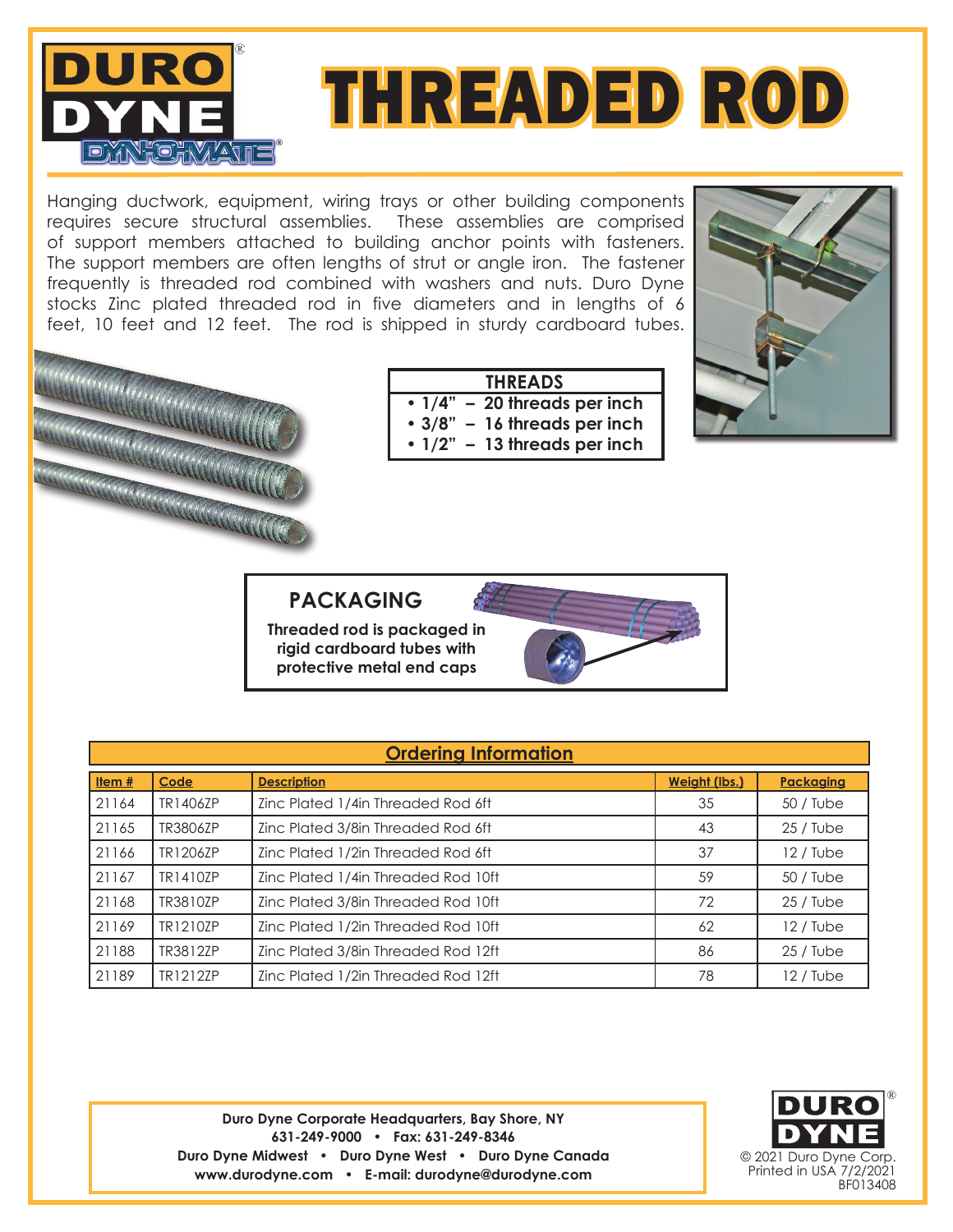



Hanging ductwork, equipment, wiring trays or other building components requires secure structural assemblies. These assemblies are comprised of support members attached to building anchor points with fasteners. The support members are often lengths of strut or angle iron. The fastener frequently is threaded rod combined with washers and nuts. Duro Dyne stocks Zinc plated threaded rod in five diameters and in lengths of 6 feet, 10 feet and 12 feet. The rod is shipped in sturdy cardboard tubes.



## **THREADS**

- **• 1/4" 20 threads per inch**
- **• 3/8" 16 threads per inch**
- **1/2" 13 threads per inch**



## **PACKAGING**

**Threaded rod is packaged in rigid cardboard tubes with protective metal end caps**



| <b>Ordering Information</b> |          |                                     |               |                  |  |  |  |  |
|-----------------------------|----------|-------------------------------------|---------------|------------------|--|--|--|--|
| Item $#$                    | Code     | <b>Description</b>                  | Weight (lbs.) | <b>Packaging</b> |  |  |  |  |
| 21164                       | TR1406ZP | Zinc Plated 1/4in Threaded Rod 6ft  | 35            | 50 / Tube        |  |  |  |  |
| 21165                       | TR3806ZP | Zinc Plated 3/8in Threaded Rod 6ft  | 43            | $25/$ Tube       |  |  |  |  |
| 21166                       | TR1206ZP | Zinc Plated 1/2in Threaded Rod 6ft  | 37            | 12 / Tube        |  |  |  |  |
| 21167                       | TR1410ZP | Zinc Plated 1/4in Threaded Rod 10ft | 59            | $50/$ Tube       |  |  |  |  |
| 21168                       | TR3810ZP | Zinc Plated 3/8in Threaded Rod 10ft | 72            | $25/$ Tube       |  |  |  |  |
| 21169                       | TR1210ZP | Zinc Plated 1/2in Threaded Rod 10ft | 62            | 12 / Tube        |  |  |  |  |
| 21188                       | TR3812ZP | Zinc Plated 3/8in Threaded Rod 12ft | 86            | $25/$ Tube       |  |  |  |  |
| 21189                       | TR1212ZP | Zinc Plated 1/2in Threaded Rod 12ft | 78            | 12 / Tube        |  |  |  |  |

**Duro Dyne Corporate Headquarters, Bay Shore, NY 631-249-9000 • Fax: 631-249-8346 Duro Dyne Midwest • Duro Dyne West • Duro Dyne Canada www.durodyne.com • E-mail: durodyne@durodyne.com**